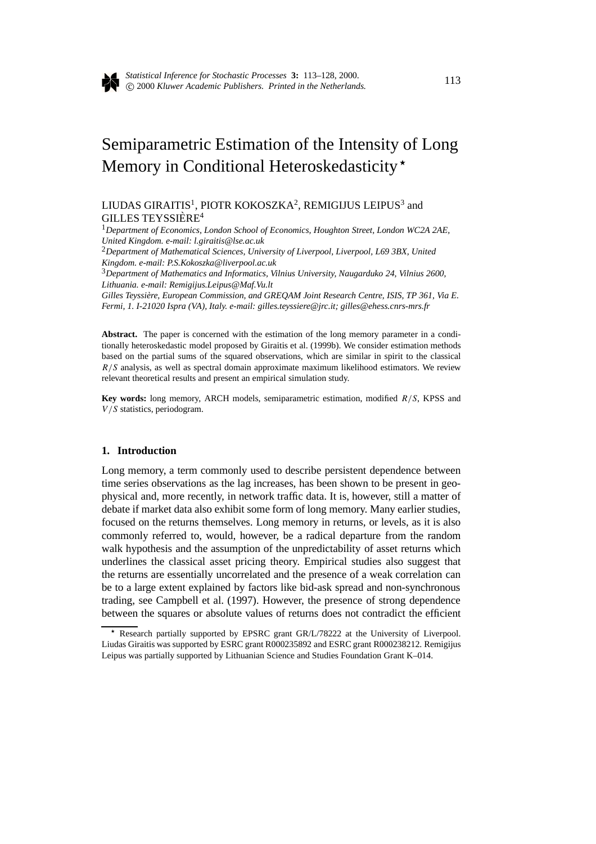

# Semiparametric Estimation of the Intensity of Long Memory in Conditional Heteroskedasticity*?*

## LIUDAS GIRAITIS<sup>1</sup>, PIOTR KOKOSZKA<sup>2</sup>, REMIGIJUS LEIPUS<sup>3</sup> and GILLES TEYSSIÈRE<sup>4</sup>

<sup>1</sup>*Department of Economics, London School of Economics, Houghton Street, London WC2A 2AE, United Kingdom. e-mail: l.giraitis@lse.ac.uk*

<sup>2</sup>*Department of Mathematical Sciences, University of Liverpool, Liverpool, L69 3BX, United Kingdom. e-mail: P.S.Kokoszka@liverpool.ac.uk*

<sup>3</sup>*Department of Mathematics and Informatics, Vilnius University, Naugarduko 24, Vilnius 2600, Lithuania. e-mail: Remigijus.Leipus@Maf.Vu.lt*

*Gilles Teyssi`ere, European Commission, and GREQAM Joint Research Centre, ISIS, TP 361, Via E. Fermi, 1. I-21020 Ispra (VA), Italy. e-mail: gilles.teyssiere@jrc.it; gilles@ehess.cnrs-mrs.fr*

**Abstract.** The paper is concerned with the estimation of the long memory parameter in a conditionally heteroskedastic model proposed by Giraitis et al. (1999b). We consider estimation methods based on the partial sums of the squared observations, which are similar in spirit to the classical *R/S* analysis, as well as spectral domain approximate maximum likelihood estimators. We review relevant theoretical results and present an empirical simulation study.

**Key words:** long memory, ARCH models, semiparametric estimation, modified *R/S*, KPSS and *V /S* statistics, periodogram.

## **1. Introduction**

Long memory, a term commonly used to describe persistent dependence between time series observations as the lag increases, has been shown to be present in geophysical and, more recently, in network traffic data. It is, however, still a matter of debate if market data also exhibit some form of long memory. Many earlier studies, focused on the returns themselves. Long memory in returns, or levels, as it is also commonly referred to, would, however, be a radical departure from the random walk hypothesis and the assumption of the unpredictability of asset returns which underlines the classical asset pricing theory. Empirical studies also suggest that the returns are essentially uncorrelated and the presence of a weak correlation can be to a large extent explained by factors like bid-ask spread and non-synchronous trading, see Campbell et al. (1997). However, the presence of strong dependence between the squares or absolute values of returns does not contradict the efficient

*<sup>?</sup>* Research partially supported by EPSRC grant GR/L/78222 at the University of Liverpool. Liudas Giraitis was supported by ESRC grant R000235892 and ESRC grant R000238212. Remigijus Leipus was partially supported by Lithuanian Science and Studies Foundation Grant K–014.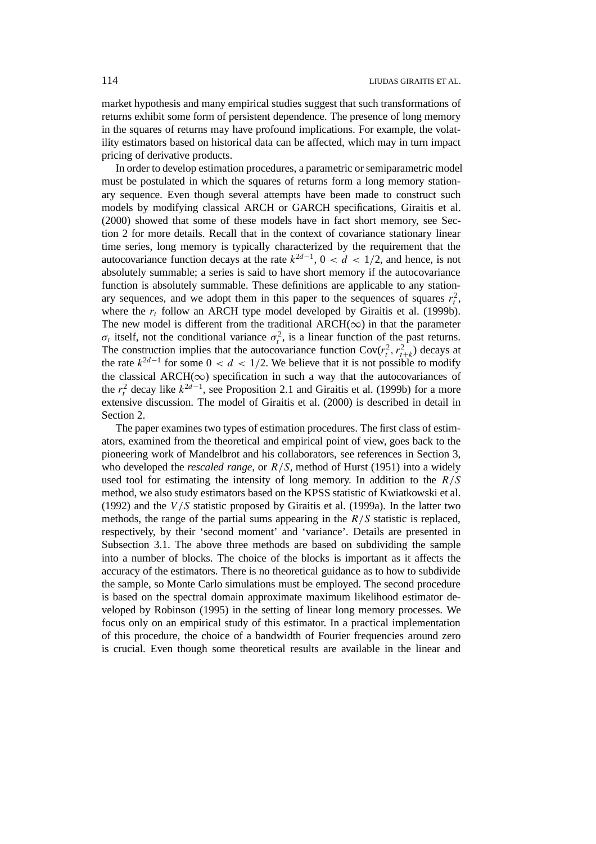market hypothesis and many empirical studies suggest that such transformations of returns exhibit some form of persistent dependence. The presence of long memory in the squares of returns may have profound implications. For example, the volatility estimators based on historical data can be affected, which may in turn impact pricing of derivative products.

In order to develop estimation procedures, a parametric or semiparametric model must be postulated in which the squares of returns form a long memory stationary sequence. Even though several attempts have been made to construct such models by modifying classical ARCH or GARCH specifications, Giraitis et al. (2000) showed that some of these models have in fact short memory, see Section 2 for more details. Recall that in the context of covariance stationary linear time series, long memory is typically characterized by the requirement that the autocovariance function decays at the rate  $k^{2d-1}$ ,  $0 < d < 1/2$ , and hence, is not absolutely summable; a series is said to have short memory if the autocovariance function is absolutely summable. These definitions are applicable to any stationary sequences, and we adopt them in this paper to the sequences of squares  $r_t^2$ , where the  $r_t$  follow an ARCH type model developed by Giraitis et al. (1999b). The new model is different from the traditional ARCH( $\infty$ ) in that the parameter  $\sigma_t$  itself, not the conditional variance  $\sigma_t^2$ , is a linear function of the past returns. The construction implies that the autocovariance function  $Cov(r_t^2, r_{t+k}^2)$  decays at the rate  $k^{2d-1}$  for some  $0 < d < 1/2$ . We believe that it is not possible to modify the classical ARCH( $\infty$ ) specification in such a way that the autocovariances of the  $r_t^2$  decay like  $k^{2d-1}$ , see Proposition 2.1 and Giraitis et al. (1999b) for a more extensive discussion. The model of Giraitis et al. (2000) is described in detail in Section 2.

The paper examines two types of estimation procedures. The first class of estimators, examined from the theoretical and empirical point of view, goes back to the pioneering work of Mandelbrot and his collaborators, see references in Section 3, who developed the *rescaled range*, or *R/S*, method of Hurst (1951) into a widely used tool for estimating the intensity of long memory. In addition to the *R/S* method, we also study estimators based on the KPSS statistic of Kwiatkowski et al. (1992) and the *V /S* statistic proposed by Giraitis et al. (1999a). In the latter two methods, the range of the partial sums appearing in the  $R/S$  statistic is replaced, respectively, by their 'second moment' and 'variance'. Details are presented in Subsection 3.1. The above three methods are based on subdividing the sample into a number of blocks. The choice of the blocks is important as it affects the accuracy of the estimators. There is no theoretical guidance as to how to subdivide the sample, so Monte Carlo simulations must be employed. The second procedure is based on the spectral domain approximate maximum likelihood estimator developed by Robinson (1995) in the setting of linear long memory processes. We focus only on an empirical study of this estimator. In a practical implementation of this procedure, the choice of a bandwidth of Fourier frequencies around zero is crucial. Even though some theoretical results are available in the linear and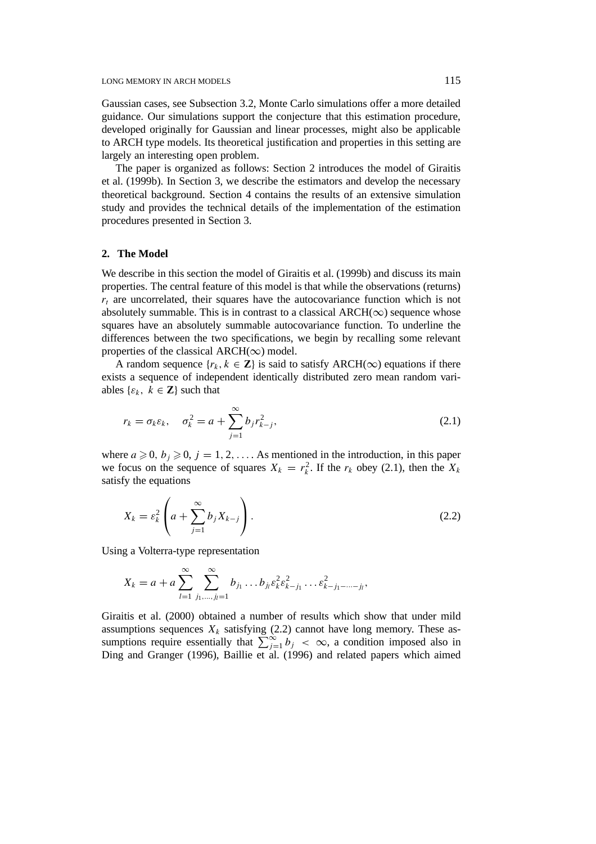LONG MEMORY IN ARCH MODELS 115

Gaussian cases, see Subsection 3.2, Monte Carlo simulations offer a more detailed guidance. Our simulations support the conjecture that this estimation procedure, developed originally for Gaussian and linear processes, might also be applicable to ARCH type models. Its theoretical justification and properties in this setting are largely an interesting open problem.

The paper is organized as follows: Section 2 introduces the model of Giraitis et al. (1999b). In Section 3, we describe the estimators and develop the necessary theoretical background. Section 4 contains the results of an extensive simulation study and provides the technical details of the implementation of the estimation procedures presented in Section 3.

## **2. The Model**

We describe in this section the model of Giraitis et al. (1999b) and discuss its main properties. The central feature of this model is that while the observations (returns)  $r_t$  are uncorrelated, their squares have the autocovariance function which is not absolutely summable. This is in contrast to a classical  $\text{ARCH}(\infty)$  sequence whose squares have an absolutely summable autocovariance function. To underline the differences between the two specifications, we begin by recalling some relevant properties of the classical ARCH( $\infty$ ) model.

A random sequence  $\{r_k, k \in \mathbb{Z}\}\$ is said to satisfy ARCH( $\infty$ ) equations if there exists a sequence of independent identically distributed zero mean random variables  $\{\varepsilon_k, k \in \mathbb{Z}\}\$  such that

$$
r_k = \sigma_k \varepsilon_k, \quad \sigma_k^2 = a + \sum_{j=1}^{\infty} b_j r_{k-j}^2,
$$
\n(2.1)

where  $a \ge 0$ ,  $b_j \ge 0$ ,  $j = 1, 2, \ldots$ . As mentioned in the introduction, in this paper we focus on the sequence of squares  $X_k = r_k^2$ . If the  $r_k$  obey (2.1), then the  $X_k$ satisfy the equations

$$
X_k = \varepsilon_k^2 \left( a + \sum_{j=1}^{\infty} b_j X_{k-j} \right). \tag{2.2}
$$

Using a Volterra-type representation

$$
X_k = a + a \sum_{l=1}^{\infty} \sum_{j_1,\dots,j_l=1}^{\infty} b_{j_1} \dots b_{j_l} \varepsilon_k^2 \varepsilon_{k-j_1}^2 \dots \varepsilon_{k-j_1-\dots-j_l}^2,
$$

Giraitis et al. (2000) obtained a number of results which show that under mild assumptions sequences  $X_k$  satisfying (2.2) cannot have long memory. These assumptions require essentially that  $\sum_{j=1}^{\infty} b_j < \infty$ , a condition imposed also in Ding and Granger (1996), Baillie et al. (1996) and related papers which aimed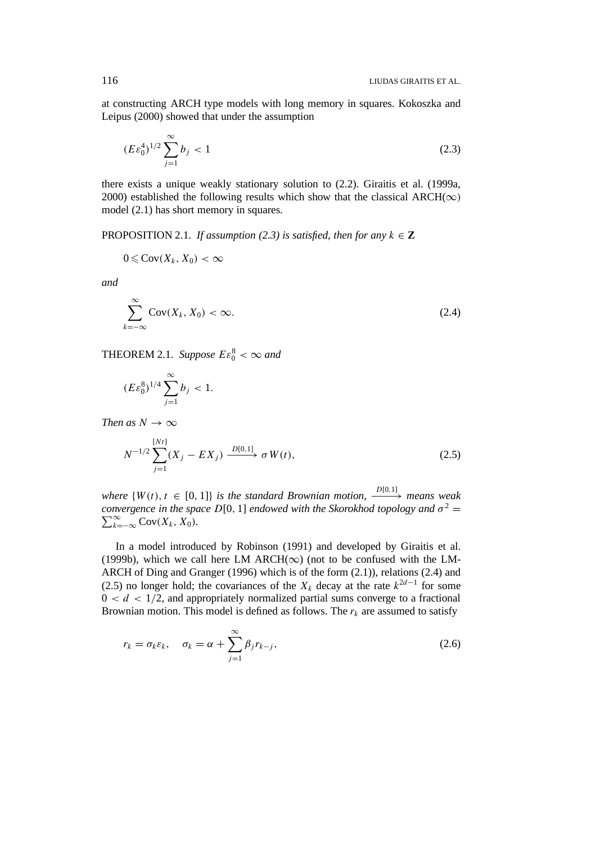at constructing ARCH type models with long memory in squares. Kokoszka and Leipus (2000) showed that under the assumption

$$
(E\varepsilon_0^4)^{1/2} \sum_{j=1}^{\infty} b_j < 1
$$
\n(2.3)

there exists a unique weakly stationary solution to (2.2). Giraitis et al. (1999a, 2000) established the following results which show that the classical ARCH( $\infty$ ) model (2.1) has short memory in squares.

**PROPOSITION** 2.1. *If assumption* (2.3) *is satisfied, then for any*  $k \in \mathbb{Z}$ 

$$
0\leqslant \mathrm{Cov}(X_k,X_0)<\infty
$$

*and*

$$
\sum_{k=-\infty}^{\infty} \text{Cov}(X_k, X_0) < \infty. \tag{2.4}
$$

**THEOREM** 2.1. *Suppose*  $E\varepsilon_0^8 < \infty$  and

$$
(E\varepsilon_0^8)^{1/4} \sum_{j=1}^{\infty} b_j < 1.
$$

*Then as*  $N \rightarrow \infty$ 

$$
N^{-1/2} \sum_{j=1}^{[Nt]} (X_j - EX_j) \xrightarrow{D[0,1]} \sigma W(t), \tag{2.5}
$$

*where*  $\{W(t), t \in [0, 1]\}$  *is the standard Brownian motion,*  $\xrightarrow{D[0, 1]}$  *means weak convergence in the space*  $D[0, 1]$  *endowed with the Skorokhod topology and*  $\sigma^2 = \sum_{n=0}^{\infty} C_n \sigma^2$  $\sum_{k=-\infty}^{\infty}$  Cov $(X_k, X_0)$ *.* 

In a model introduced by Robinson (1991) and developed by Giraitis et al. (1999b), which we call here LM ARCH( $\infty$ ) (not to be confused with the LM-ARCH of Ding and Granger (1996) which is of the form (2.1)), relations (2.4) and (2.5) no longer hold; the covariances of the  $X_k$  decay at the rate  $k^{2d-1}$  for some  $0 < d < 1/2$ , and appropriately normalized partial sums converge to a fractional Brownian motion. This model is defined as follows. The  $r_k$  are assumed to satisfy

$$
r_k = \sigma_k \varepsilon_k, \quad \sigma_k = \alpha + \sum_{j=1}^{\infty} \beta_j r_{k-j}, \tag{2.6}
$$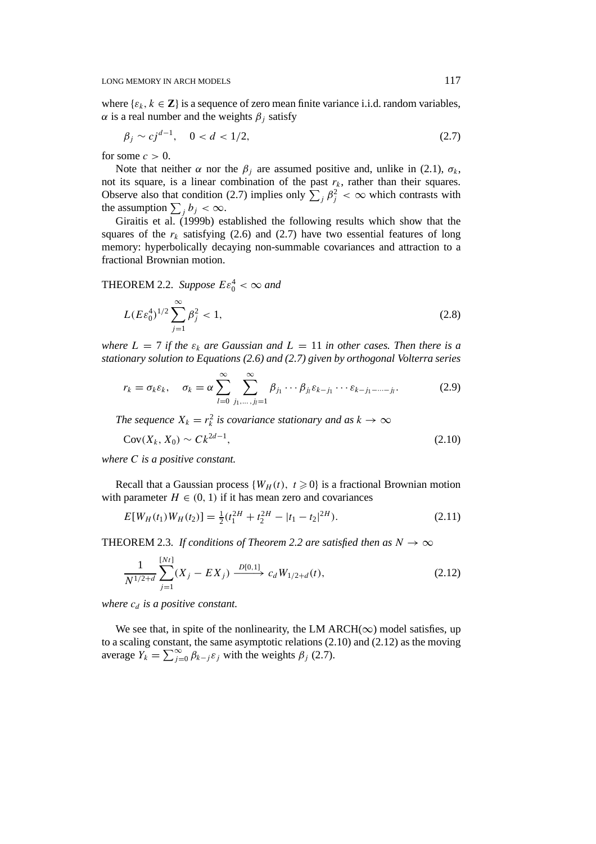where  $\{\varepsilon_k, k \in \mathbb{Z}\}\$  is a sequence of zero mean finite variance i.i.d. random variables, *α* is a real number and the weights  $\beta_i$  satisfy

$$
\beta_j \sim cj^{d-1}, \quad 0 < d < 1/2,\tag{2.7}
$$

for some  $c > 0$ .

Note that neither  $\alpha$  nor the  $\beta_i$  are assumed positive and, unlike in (2.1),  $\sigma_k$ , not its square, is a linear combination of the past  $r_k$ , rather than their squares. Observe also that condition (2.7) implies only  $\sum_j \beta_j^2 < \infty$  which contrasts with the assumption  $\sum_j b_j < \infty$ .

Giraitis et al. (1999b) established the following results which show that the squares of the  $r_k$  satisfying (2.6) and (2.7) have two essential features of long memory: hyperbolically decaying non-summable covariances and attraction to a fractional Brownian motion.

**THEOREM** 2.2. *Suppose*  $E\varepsilon_0^4 < \infty$  and

$$
L(E\varepsilon_0^4)^{1/2} \sum_{j=1}^{\infty} \beta_j^2 < 1,\tag{2.8}
$$

*where*  $L = 7$  *if the*  $\varepsilon_k$  *are Gaussian and*  $L = 11$  *in other cases. Then there is a stationary solution to Equations (2.6) and (2.7) given by orthogonal Volterra series*

$$
r_k = \sigma_k \varepsilon_k, \quad \sigma_k = \alpha \sum_{l=0}^{\infty} \sum_{j_1, \dots, j_l=1}^{\infty} \beta_{j_1} \cdots \beta_{j_l} \varepsilon_{k-j_1} \cdots \varepsilon_{k-j_1 - \dots - j_l}.
$$
 (2.9)

*The sequence*  $X_k = r_k^2$  *is covariance stationary and as*  $k \to \infty$ 

$$
\operatorname{Cov}(X_k, X_0) \sim C k^{2d-1},\tag{2.10}
$$

*where C is a positive constant.*

Recall that a Gaussian process  $\{W_H(t), t \geq 0\}$  is a fractional Brownian motion with parameter  $H \in (0, 1)$  if it has mean zero and covariances

$$
E[W_H(t_1)W_H(t_2)] = \frac{1}{2}(t_1^{2H} + t_2^{2H} - |t_1 - t_2|^{2H}).
$$
\n(2.11)

THEOREM 2.3. *If conditions of Theorem 2.2 are satisfied then as*  $N \to \infty$ 

$$
\frac{1}{N^{1/2+d}}\sum_{j=1}^{[Nt]}(X_j - EX_j) \xrightarrow{D[0,1]} c_d W_{1/2+d}(t),\tag{2.12}
$$

*where*  $c_d$  *is a positive constant.* 

We see that, in spite of the nonlinearity, the LM ARCH( $\infty$ ) model satisfies, up to a scaling constant, the same asymptotic relations (2.10) and (2.12) as the moving average  $Y_k = \sum_{j=0}^{\infty} \beta_{k-j} \varepsilon_j$  with the weights  $\beta_j$  (2.7).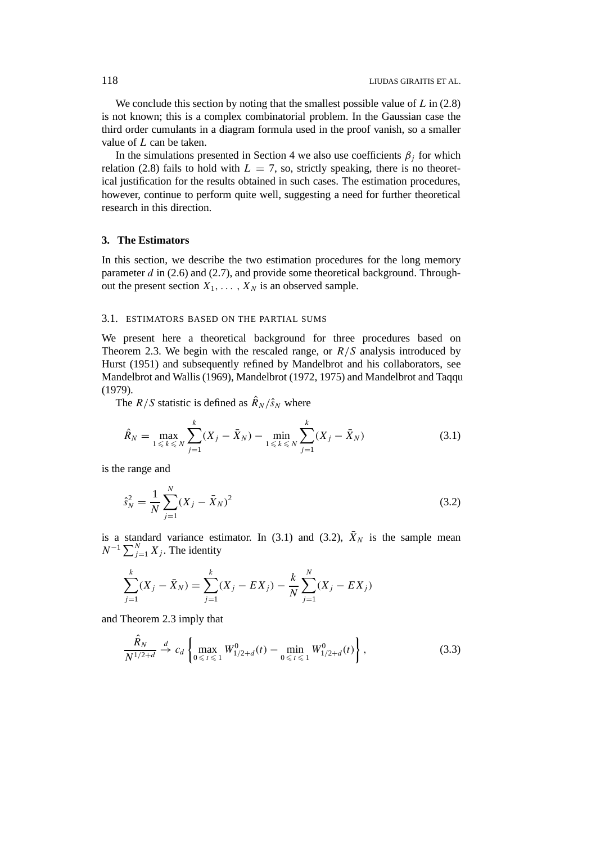We conclude this section by noting that the smallest possible value of *L* in (2.8) is not known; this is a complex combinatorial problem. In the Gaussian case the third order cumulants in a diagram formula used in the proof vanish, so a smaller value of *L* can be taken.

In the simulations presented in Section 4 we also use coefficients  $\beta_i$  for which relation (2.8) fails to hold with  $L = 7$ , so, strictly speaking, there is no theoretical justification for the results obtained in such cases. The estimation procedures, however, continue to perform quite well, suggesting a need for further theoretical research in this direction.

## **3. The Estimators**

In this section, we describe the two estimation procedures for the long memory parameter *d* in (2.6) and (2.7), and provide some theoretical background. Throughout the present section  $X_1, \ldots, X_N$  is an observed sample.

## 3.1. ESTIMATORS BASED ON THE PARTIAL SUMS

We present here a theoretical background for three procedures based on Theorem 2.3. We begin with the rescaled range, or *R/S* analysis introduced by Hurst (1951) and subsequently refined by Mandelbrot and his collaborators, see Mandelbrot and Wallis (1969), Mandelbrot (1972, 1975) and Mandelbrot and Taqqu (1979).

The *R/S* statistic is defined as  $\hat{R}_N/\hat{s}_N$  where

$$
\hat{R}_N = \max_{1 \leq k \leq N} \sum_{j=1}^k (X_j - \bar{X}_N) - \min_{1 \leq k \leq N} \sum_{j=1}^k (X_j - \bar{X}_N)
$$
(3.1)

is the range and

$$
\hat{s}_N^2 = \frac{1}{N} \sum_{j=1}^N (X_j - \bar{X}_N)^2
$$
\n(3.2)

is a standard variance estimator. In (3.1) and (3.2),  $\bar{X}_N$  is the sample mean  $N^{-1} \sum_{j=1}^{N} X_j$ . The identity

$$
\sum_{j=1}^{k} (X_j - \bar{X}_N) = \sum_{j=1}^{k} (X_j - EX_j) - \frac{k}{N} \sum_{j=1}^{N} (X_j - EX_j)
$$

and Theorem 2.3 imply that

*N*

$$
\frac{\hat{R}_N}{N^{1/2+d}} \stackrel{d}{\to} c_d \left\{ \max_{0 \le t \le 1} W_{1/2+d}^0(t) - \min_{0 \le t \le 1} W_{1/2+d}^0(t) \right\},\tag{3.3}
$$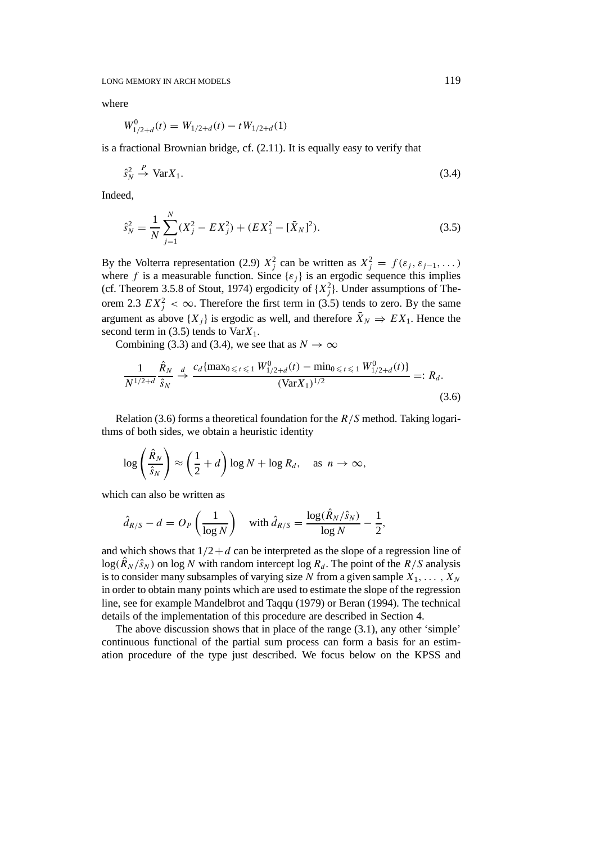where

$$
W_{1/2+d}^0(t) = W_{1/2+d}(t) - t W_{1/2+d}(1)
$$

is a fractional Brownian bridge, cf. (2.11). It is equally easy to verify that

$$
\hat{s}_N^2 \stackrel{P}{\to} \text{Var} X_1. \tag{3.4}
$$

Indeed,

$$
\hat{s}_N^2 = \frac{1}{N} \sum_{j=1}^N (X_j^2 - EX_j^2) + (EX_1^2 - [\bar{X}_N]^2). \tag{3.5}
$$

By the Volterra representation (2.9)  $X_j^2$  can be written as  $X_j^2 = f(\varepsilon_j, \varepsilon_{j-1}, \dots)$ where *f* is a measurable function. Since  $\{\varepsilon_j\}$  is an ergodic sequence this implies (cf. Theorem 3.5.8 of Stout, 1974) ergodicity of  $\{X_j^2\}$ . Under assumptions of Theorem 2.3  $EX_j^2 < \infty$ . Therefore the first term in (3.5) tends to zero. By the same argument as above  $\{X_i\}$  is ergodic as well, and therefore  $\bar{X}_N \Rightarrow EX_1$ . Hence the second term in  $(3.5)$  tends to Var $X_1$ .

Combining (3.3) and (3.4), we see that as  $N \to \infty$ 

$$
\frac{1}{N^{1/2+d}} \frac{\hat{R}_N}{\hat{s}_N} \stackrel{d}{\to} \frac{c_d \{\max_{0 \le t \le 1} W_{1/2+d}^0(t) - \min_{0 \le t \le 1} W_{1/2+d}^0(t)\}}{(\text{Var} X_1)^{1/2}} =: R_d.
$$
\n(3.6)

Relation (3.6) forms a theoretical foundation for the *R/S* method. Taking logarithms of both sides, we obtain a heuristic identity

$$
\log\left(\frac{\hat{R}_N}{\hat{s}_N}\right) \approx \left(\frac{1}{2} + d\right) \log N + \log R_d, \quad \text{as } n \to \infty,
$$

which can also be written as

$$
\hat{d}_{R/S} - d = O_P\left(\frac{1}{\log N}\right) \quad \text{with } \hat{d}_{R/S} = \frac{\log(\hat{R}_N/\hat{s}_N)}{\log N} - \frac{1}{2},
$$

and which shows that  $1/2+d$  can be interpreted as the slope of a regression line of  $\log(\hat{R}_N/\hat{s}_N)$  on log *N* with random intercept log  $R_d$ . The point of the  $R/S$  analysis is to consider many subsamples of varying size N from a given sample  $X_1, \ldots, X_N$ in order to obtain many points which are used to estimate the slope of the regression line, see for example Mandelbrot and Taqqu (1979) or Beran (1994). The technical details of the implementation of this procedure are described in Section 4.

The above discussion shows that in place of the range (3.1), any other 'simple' continuous functional of the partial sum process can form a basis for an estimation procedure of the type just described. We focus below on the KPSS and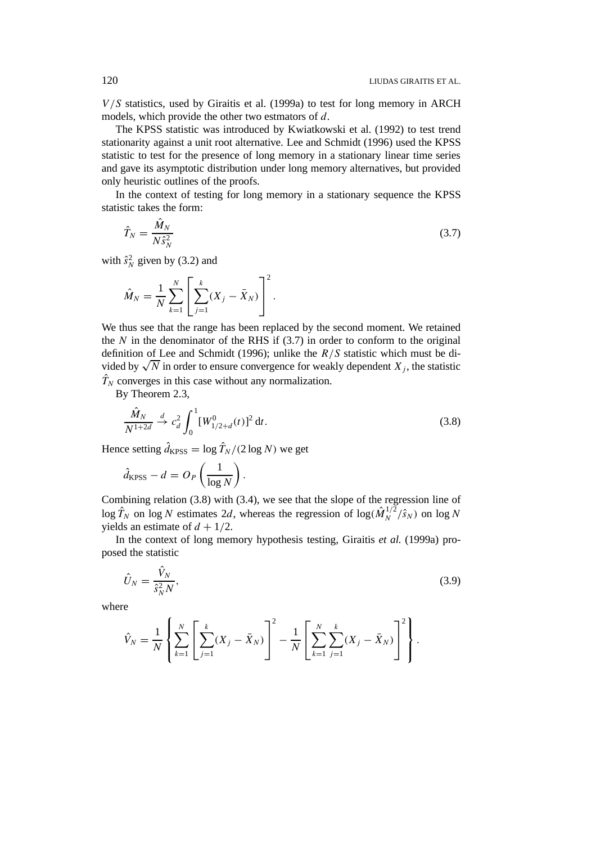*V /S* statistics, used by Giraitis et al. (1999a) to test for long memory in ARCH models, which provide the other two estmators of *d*.

The KPSS statistic was introduced by Kwiatkowski et al. (1992) to test trend stationarity against a unit root alternative. Lee and Schmidt (1996) used the KPSS statistic to test for the presence of long memory in a stationary linear time series and gave its asymptotic distribution under long memory alternatives, but provided only heuristic outlines of the proofs.

In the context of testing for long memory in a stationary sequence the KPSS statistic takes the form:

$$
\hat{T}_N = \frac{\hat{M}_N}{N\hat{s}_N^2} \tag{3.7}
$$

with  $\hat{s}_N^2$  given by (3.2) and

$$
\hat{M}_N = \frac{1}{N} \sum_{k=1}^N \left[ \sum_{j=1}^k (X_j - \bar{X}_N) \right]^2.
$$

We thus see that the range has been replaced by the second moment. We retained the  $N$  in the denominator of the RHS if  $(3.7)$  in order to conform to the original definition of Lee and Schmidt (1996); unlike the *R/S* statistic which must be divided by  $\sqrt{N}$  in order to ensure convergence for weakly dependent  $X_i$ , the statistic  $\hat{T}_N$  converges in this case without any normalization.

By Theorem 2.3,

$$
\frac{\hat{M}_N}{N^{1+2d}} \stackrel{d}{\to} c_d^2 \int_0^1 [W_{1/2+d}^0(t)]^2 dt.
$$
\n(3.8)

Hence setting  $\hat{d}_{\text{KPSS}} = \log \hat{T}_N / (2 \log N)$  we get

$$
\hat{d}_{\text{KPSS}} - d = O_P\left(\frac{1}{\log N}\right).
$$

Combining relation (3.8) with (3.4), we see that the slope of the regression line of  $\log \hat{T}_N$  on log *N* estimates 2*d*, whereas the regression of  $\log(\hat{M}_N^{1/2}/\hat{s}_N)$  on log *N* yields an estimate of  $d + 1/2$ .

In the context of long memory hypothesis testing, Giraitis *et al.* (1999a) proposed the statistic

$$
\hat{U}_N = \frac{\hat{V}_N}{\hat{s}_N^2 N},\tag{3.9}
$$

where

$$
\hat{V}_N = \frac{1}{N} \left\{ \sum_{k=1}^N \left[ \sum_{j=1}^k (X_j - \bar{X}_N) \right]^2 - \frac{1}{N} \left[ \sum_{k=1}^N \sum_{j=1}^k (X_j - \bar{X}_N) \right]^2 \right\}.
$$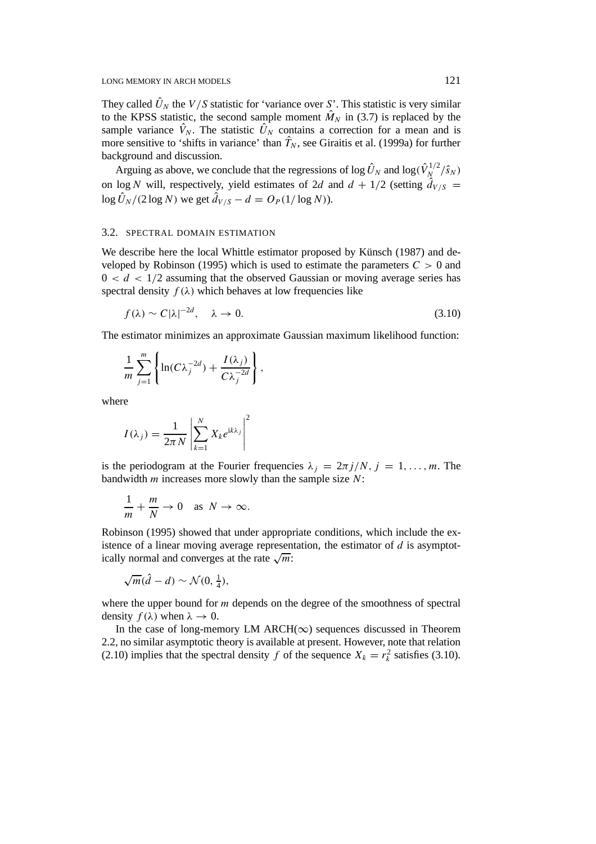They called  $\hat{U}_N$  the *V/S* statistic for 'variance over *S*'. This statistic is very similar to the KPSS statistic, the second sample moment  $\hat{M}_N$  in (3.7) is replaced by the sample variance  $\hat{V}_N$ . The statistic  $\hat{U}_N$  contains a correction for a mean and is more sensitive to 'shifts in variance' than  $\hat{T}_N$ , see Giraitis et al. (1999a) for further background and discussion.

Arguing as above, we conclude that the regressions of log  $\hat{U}_N$  and log( $\hat{V}_N^{1/2} / \hat{s}_N$ ) on log *N* will, respectively, yield estimates of 2*d* and  $d + 1/2$  (setting  $\hat{d}_{V/S}$  =  $\log \hat{U}_N / (2 \log N)$  we get  $\hat{d}_{V/S} - d = O_P(1 / \log N)$ ).

#### 3.2. SPECTRAL DOMAIN ESTIMATION

We describe here the local Whittle estimator proposed by Künsch (1987) and developed by Robinson (1995) which is used to estimate the parameters  $C > 0$  and  $0 < d < 1/2$  assuming that the observed Gaussian or moving average series has spectral density  $f(\lambda)$  which behaves at low frequencies like

$$
f(\lambda) \sim C|\lambda|^{-2d}, \quad \lambda \to 0. \tag{3.10}
$$

The estimator minimizes an approximate Gaussian maximum likelihood function:

$$
\frac{1}{m}\sum_{j=1}^{m}\left\{\ln(C\lambda_j^{-2d})+\frac{I(\lambda_j)}{C\lambda_j^{-2d}}\right\},\,
$$

where

$$
I(\lambda_j) = \frac{1}{2\pi N} \left| \sum_{k=1}^{N} X_k e^{ik\lambda_j} \right|^2
$$

is the periodogram at the Fourier frequencies  $\lambda_i = 2\pi i/N$ ,  $i = 1, \ldots, m$ . The bandwidth *m* increases more slowly than the sample size *N*:

$$
\frac{1}{m} + \frac{m}{N} \to 0 \quad \text{as } N \to \infty.
$$

Robinson (1995) showed that under appropriate conditions, which include the existence of a linear moving average representation, the estimator of *d* is asymptotically normal and converges at the rate  $\sqrt{m}$ :

$$
\sqrt{m}(\hat{d}-d) \sim \mathcal{N}(0, \frac{1}{4}),
$$

where the upper bound for *m* depends on the degree of the smoothness of spectral density  $f(\lambda)$  when  $\lambda \to 0$ .

In the case of long-memory LM ARCH( $\infty$ ) sequences discussed in Theorem 2.2, no similar asymptotic theory is available at present. However, note that relation (2.10) implies that the spectral density *f* of the sequence  $X_k = r_k^2$  satisfies (3.10).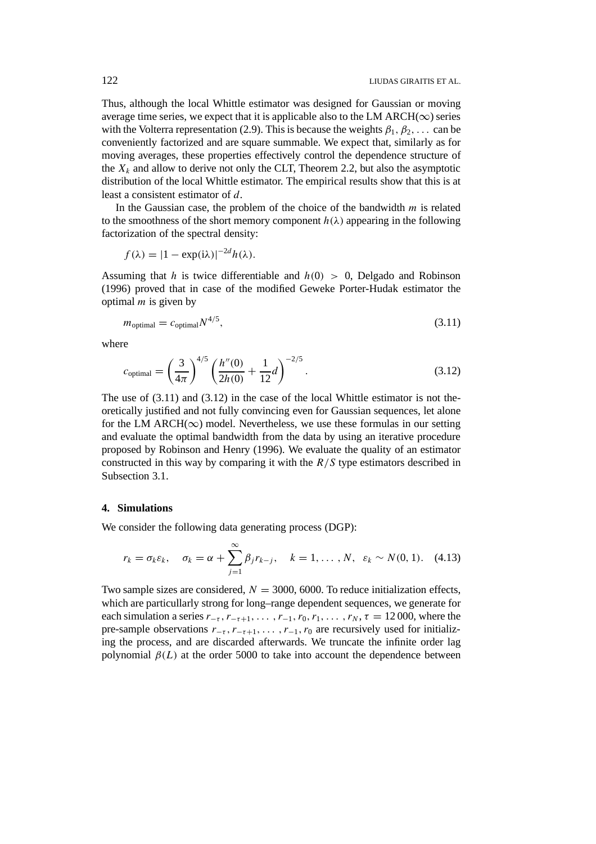Thus, although the local Whittle estimator was designed for Gaussian or moving average time series, we expect that it is applicable also to the LM ARCH( $\infty$ ) series with the Volterra representation (2.9). This is because the weights  $\beta_1, \beta_2, \ldots$  can be conveniently factorized and are square summable. We expect that, similarly as for moving averages, these properties effectively control the dependence structure of the  $X_k$  and allow to derive not only the CLT, Theorem 2.2, but also the asymptotic distribution of the local Whittle estimator. The empirical results show that this is at least a consistent estimator of *d*.

In the Gaussian case, the problem of the choice of the bandwidth *m* is related to the smoothness of the short memory component  $h(\lambda)$  appearing in the following factorization of the spectral density:

$$
f(\lambda) = |1 - \exp(i\lambda)|^{-2d} h(\lambda).
$$

Assuming that *h* is twice differentiable and *h(*0*) >* 0, Delgado and Robinson (1996) proved that in case of the modified Geweke Porter-Hudak estimator the optimal *m* is given by

$$
m_{\text{optimal}} = c_{\text{optimal}} N^{4/5},\tag{3.11}
$$

where

$$
c_{\text{optimal}} = \left(\frac{3}{4\pi}\right)^{4/5} \left(\frac{h''(0)}{2h(0)} + \frac{1}{12}d\right)^{-2/5}.
$$
 (3.12)

The use of (3.11) and (3.12) in the case of the local Whittle estimator is not theoretically justified and not fully convincing even for Gaussian sequences, let alone for the LM ARCH( $\infty$ ) model. Nevertheless, we use these formulas in our setting and evaluate the optimal bandwidth from the data by using an iterative procedure proposed by Robinson and Henry (1996). We evaluate the quality of an estimator constructed in this way by comparing it with the *R/S* type estimators described in Subsection 3.1.

## **4. Simulations**

We consider the following data generating process (DGP):

$$
r_k = \sigma_k \varepsilon_k, \quad \sigma_k = \alpha + \sum_{j=1}^{\infty} \beta_j r_{k-j}, \quad k = 1, \dots, N, \quad \varepsilon_k \sim N(0, 1). \quad (4.13)
$$

Two sample sizes are considered,  $N = 3000, 6000$ . To reduce initialization effects, which are particullarly strong for long–range dependent sequences, we generate for each simulation a series  $r_{-\tau}$ ,  $r_{-\tau+1}$ , ... ,  $r_{-1}$ ,  $r_0$ ,  $r_1$ , ... ,  $r_N$ ,  $\tau = 12000$ , where the pre-sample observations  $r_{-\tau}$ ,  $r_{-\tau+1}$ , ...,  $r_{-1}$ ,  $r_0$  are recursively used for initializing the process, and are discarded afterwards. We truncate the infinite order lag polynomial  $\beta(L)$  at the order 5000 to take into account the dependence between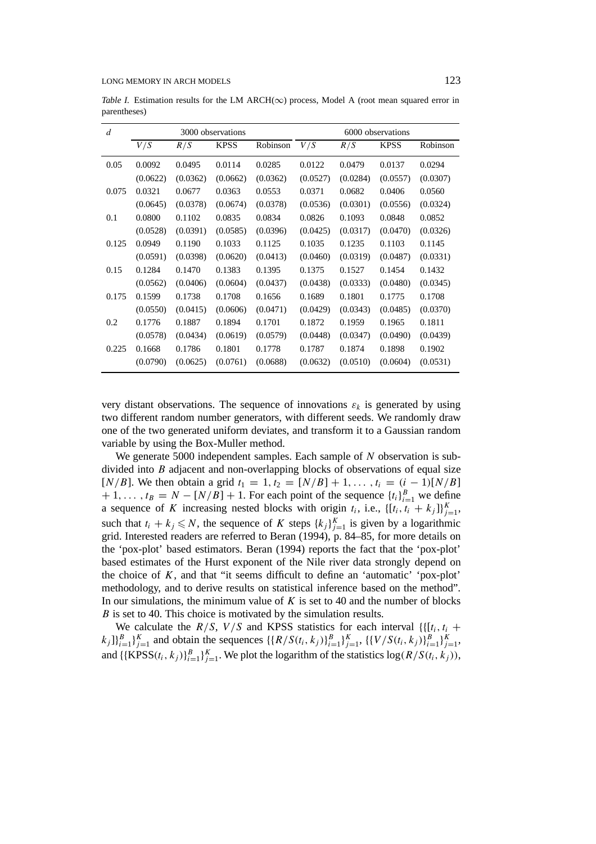*Table I.* Estimation results for the LM ARCH( $\infty$ ) process, Model A (root mean squared error in parentheses)

| $\overline{d}$ | 3000 observations |          |             |          | 6000 observations |          |             |          |  |
|----------------|-------------------|----------|-------------|----------|-------------------|----------|-------------|----------|--|
|                | V/S               | R/S      | <b>KPSS</b> | Robinson | V/S               | R/S      | <b>KPSS</b> | Robinson |  |
| 0.05           | 0.0092            | 0.0495   | 0.0114      | 0.0285   | 0.0122            | 0.0479   | 0.0137      | 0.0294   |  |
|                | (0.0622)          | (0.0362) | (0.0662)    | (0.0362) | (0.0527)          | (0.0284) | (0.0557)    | (0.0307) |  |
| 0.075          | 0.0321            | 0.0677   | 0.0363      | 0.0553   | 0.0371            | 0.0682   | 0.0406      | 0.0560   |  |
|                | (0.0645)          | (0.0378) | (0.0674)    | (0.0378) | (0.0536)          | (0.0301) | (0.0556)    | (0.0324) |  |
| 0.1            | 0.0800            | 0.1102   | 0.0835      | 0.0834   | 0.0826            | 0.1093   | 0.0848      | 0.0852   |  |
|                | (0.0528)          | (0.0391) | (0.0585)    | (0.0396) | (0.0425)          | (0.0317) | (0.0470)    | (0.0326) |  |
| 0.125          | 0.0949            | 0.1190   | 0.1033      | 0.1125   | 0.1035            | 0.1235   | 0.1103      | 0.1145   |  |
|                | (0.0591)          | (0.0398) | (0.0620)    | (0.0413) | (0.0460)          | (0.0319) | (0.0487)    | (0.0331) |  |
| 0.15           | 0.1284            | 0.1470   | 0.1383      | 0.1395   | 0.1375            | 0.1527   | 0.1454      | 0.1432   |  |
|                | (0.0562)          | (0.0406) | (0.0604)    | (0.0437) | (0.0438)          | (0.0333) | (0.0480)    | (0.0345) |  |
| 0.175          | 0.1599            | 0.1738   | 0.1708      | 0.1656   | 0.1689            | 0.1801   | 0.1775      | 0.1708   |  |
|                | (0.0550)          | (0.0415) | (0.0606)    | (0.0471) | (0.0429)          | (0.0343) | (0.0485)    | (0.0370) |  |
| 0.2            | 0.1776            | 0.1887   | 0.1894      | 0.1701   | 0.1872            | 0.1959   | 0.1965      | 0.1811   |  |
|                | (0.0578)          | (0.0434) | (0.0619)    | (0.0579) | (0.0448)          | (0.0347) | (0.0490)    | (0.0439) |  |
| 0.225          | 0.1668            | 0.1786   | 0.1801      | 0.1778   | 0.1787            | 0.1874   | 0.1898      | 0.1902   |  |
|                | (0.0790)          | (0.0625) | (0.0761)    | (0.0688) | (0.0632)          | (0.0510) | (0.0604)    | (0.0531) |  |

very distant observations. The sequence of innovations  $\varepsilon_k$  is generated by using two different random number generators, with different seeds. We randomly draw one of the two generated uniform deviates, and transform it to a Gaussian random variable by using the Box-Muller method.

We generate 5000 independent samples. Each sample of *N* observation is subdivided into *B* adjacent and non-overlapping blocks of observations of equal size [*N/B*]. We then obtain a grid  $t_1 = 1, t_2 = [N/B] + 1, \ldots, t_i = (i - 1)[N/B]$ + 1, ...,  $t_B = N - [N/B] + 1$ . For each point of the sequence  $\{t_i\}_{i=1}^B$  we define a sequence of *K* increasing nested blocks with origin  $t_i$ , i.e.,  $\{[t_i, t_i + k_j]\}_{j=1}^K$ , such that  $t_i + k_j \le N$ , the sequence of *K* steps  $\{k_j\}_{j=1}^K$  is given by a logarithmic grid. Interested readers are referred to Beran (1994), p. 84–85, for more details on the 'pox-plot' based estimators. Beran (1994) reports the fact that the 'pox-plot' based estimates of the Hurst exponent of the Nile river data strongly depend on the choice of *K*, and that "it seems difficult to define an 'automatic' 'pox-plot' methodology, and to derive results on statistical inference based on the method". In our simulations, the minimum value of *K* is set to 40 and the number of blocks *B* is set to 40. This choice is motivated by the simulation results.

We calculate the  $R/S$ ,  $V/S$  and KPSS statistics for each interval  $\{[\n{t_i, t_i + \n}\n]$  $k_j$   $B_{i=1}^B$   $B_{j=1}^K$  and obtain the sequences  $\{ \{ R/S(t_i, k_j) \}_{i=1}^B \}_{j=1}^K$ ,  $\{ \{ V/S(t_i, k_j) \}_{i=1}^B \}_{j=1}^K$ , and  $\{ \{KPSS(t_i, k_j) \}_{i=1}^B \}_{j=1}^K$ . We plot the logarithm of the statistics log( $R/S(t_i, k_j)$ ),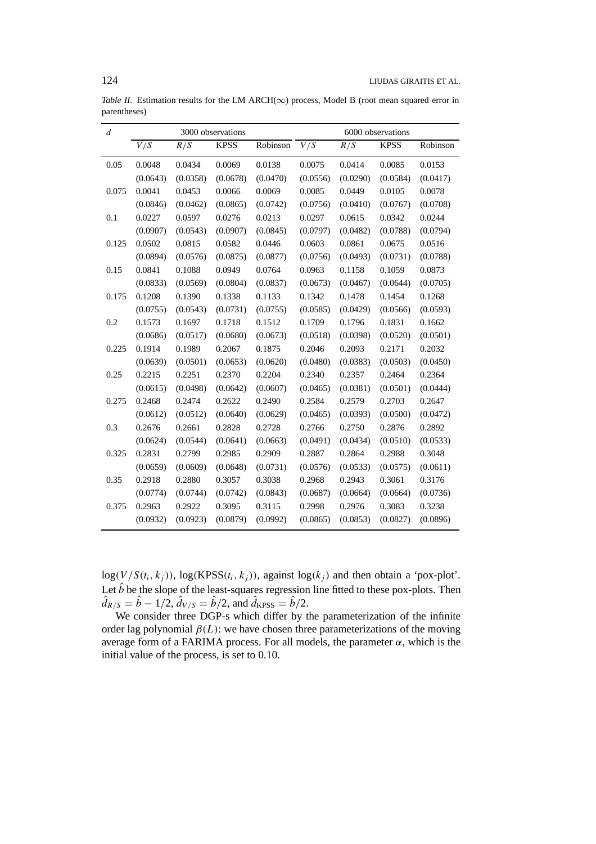|              | <i>Table II.</i> Estimation results for the LM ARCH( $\infty$ ) process, Model B (root mean squared error in |  |  |  |  |  |
|--------------|--------------------------------------------------------------------------------------------------------------|--|--|--|--|--|
| parentheses) |                                                                                                              |  |  |  |  |  |

| $\overline{d}$ |                  |          | 3000 observations |          | 6000 observations |                  |             |          |  |
|----------------|------------------|----------|-------------------|----------|-------------------|------------------|-------------|----------|--|
|                | $V/\overline{S}$ | R/S      | <b>KPSS</b>       | Robinson | $\overline{V/S}$  | $R/\overline{S}$ | <b>KPSS</b> | Robinson |  |
| 0.05           | 0.0048           | 0.0434   | 0.0069            | 0.0138   | 0.0075            | 0.0414           | 0.0085      | 0.0153   |  |
|                | (0.0643)         | (0.0358) | (0.0678)          | (0.0470) | (0.0556)          | (0.0290)         | (0.0584)    | (0.0417) |  |
| 0.075          | 0.0041           | 0.0453   | 0.0066            | 0.0069   | 0.0085            | 0.0449           | 0.0105      | 0.0078   |  |
|                | (0.0846)         | (0.0462) | (0.0865)          | (0.0742) | (0.0756)          | (0.0410)         | (0.0767)    | (0.0708) |  |
| 0.1            | 0.0227           | 0.0597   | 0.0276            | 0.0213   | 0.0297            | 0.0615           | 0.0342      | 0.0244   |  |
|                | (0.0907)         | (0.0543) | (0.0907)          | (0.0845) | (0.0797)          | (0.0482)         | (0.0788)    | (0.0794) |  |
| 0.125          | 0.0502           | 0.0815   | 0.0582            | 0.0446   | 0.0603            | 0.0861           | 0.0675      | 0.0516   |  |
|                | (0.0894)         | (0.0576) | (0.0875)          | (0.0877) | (0.0756)          | (0.0493)         | (0.0731)    | (0.0788) |  |
| 0.15           | 0.0841           | 0.1088   | 0.0949            | 0.0764   | 0.0963            | 0.1158           | 0.1059      | 0.0873   |  |
|                | (0.0833)         | (0.0569) | (0.0804)          | (0.0837) | (0.0673)          | (0.0467)         | (0.0644)    | (0.0705) |  |
| 0.175          | 0.1208           | 0.1390   | 0.1338            | 0.1133   | 0.1342            | 0.1478           | 0.1454      | 0.1268   |  |
|                | (0.0755)         | (0.0543) | (0.0731)          | (0.0755) | (0.0585)          | (0.0429)         | (0.0566)    | (0.0593) |  |
| 0.2            | 0.1573           | 0.1697   | 0.1718            | 0.1512   | 0.1709            | 0.1796           | 0.1831      | 0.1662   |  |
|                | (0.0686)         | (0.0517) | (0.0680)          | (0.0673) | (0.0518)          | (0.0398)         | (0.0520)    | (0.0501) |  |
| 0.225          | 0.1914           | 0.1989   | 0.2067            | 0.1875   | 0.2046            | 0.2093           | 0.2171      | 0.2032   |  |
|                | (0.0639)         | (0.0501) | (0.0653)          | (0.0620) | (0.0480)          | (0.0383)         | (0.0503)    | (0.0450) |  |
| 0.25           | 0.2215           | 0.2251   | 0.2370            | 0.2204   | 0.2340            | 0.2357           | 0.2464      | 0.2364   |  |
|                | (0.0615)         | (0.0498) | (0.0642)          | (0.0607) | (0.0465)          | (0.0381)         | (0.0501)    | (0.0444) |  |
| 0.275          | 0.2468           | 0.2474   | 0.2622            | 0.2490   | 0.2584            | 0.2579           | 0.2703      | 0.2647   |  |
|                | (0.0612)         | (0.0512) | (0.0640)          | (0.0629) | (0.0465)          | (0.0393)         | (0.0500)    | (0.0472) |  |
| 0.3            | 0.2676           | 0.2661   | 0.2828            | 0.2728   | 0.2766            | 0.2750           | 0.2876      | 0.2892   |  |
|                | (0.0624)         | (0.0544) | (0.0641)          | (0.0663) | (0.0491)          | (0.0434)         | (0.0510)    | (0.0533) |  |
| 0.325          | 0.2831           | 0.2799   | 0.2985            | 0.2909   | 0.2887            | 0.2864           | 0.2988      | 0.3048   |  |
|                | (0.0659)         | (0.0609) | (0.0648)          | (0.0731) | (0.0576)          | (0.0533)         | (0.0575)    | (0.0611) |  |
| 0.35           | 0.2918           | 0.2880   | 0.3057            | 0.3038   | 0.2968            | 0.2943           | 0.3061      | 0.3176   |  |
|                | (0.0774)         | (0.0744) | (0.0742)          | (0.0843) | (0.0687)          | (0.0664)         | (0.0664)    | (0.0736) |  |
| 0.375          | 0.2963           | 0.2922   | 0.3095            | 0.3115   | 0.2998            | 0.2976           | 0.3083      | 0.3238   |  |
|                | (0.0932)         | (0.0923) | (0.0879)          | (0.0992) | (0.0865)          | (0.0853)         | (0.0827)    | (0.0896) |  |

 $log(V/S(t_i, k_i))$ ,  $log(KPSS(t_i, k_i))$ , against  $log(k_i)$  and then obtain a 'pox-plot'. Let  $\hat{b}$  be the slope of the least-squares regression line fitted to these pox-plots. Then  $\hat{d}_{R/S} = \hat{b} - 1/2$ ,  $\hat{d}_{V/S} = \hat{b}/2$ , and  $\hat{d}_{KPSS} = \hat{b}/2$ .

We consider three DGP-s which differ by the parameterization of the infinite order lag polynomial  $\beta(L)$ : we have chosen three parameterizations of the moving average form of a FARIMA process. For all models, the parameter  $\alpha$ , which is the initial value of the process, is set to 0.10.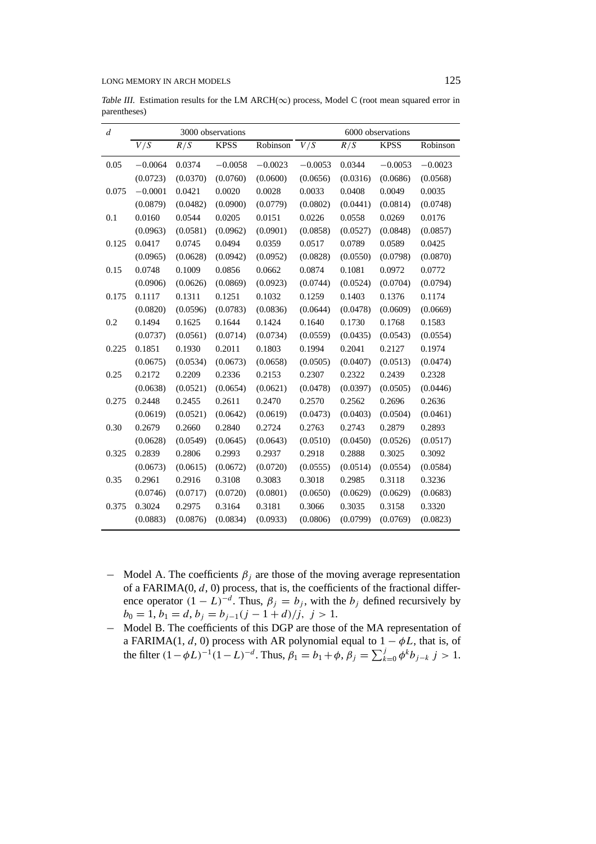*Table III.* Estimation results for the LM ARCH( $\infty$ ) process, Model C (root mean squared error in parentheses)

| d     |           |          | 3000 observations |           | 6000 observations |          |             |           |  |
|-------|-----------|----------|-------------------|-----------|-------------------|----------|-------------|-----------|--|
|       | V/S       | R/S      | <b>KPSS</b>       | Robinson  | V/S               | R/S      | <b>KPSS</b> | Robinson  |  |
| 0.05  | $-0.0064$ | 0.0374   | $-0.0058$         | $-0.0023$ | $-0.0053$         | 0.0344   | $-0.0053$   | $-0.0023$ |  |
|       | (0.0723)  | (0.0370) | (0.0760)          | (0.0600)  | (0.0656)          | (0.0316) | (0.0686)    | (0.0568)  |  |
| 0.075 | $-0.0001$ | 0.0421   | 0.0020            | 0.0028    | 0.0033            | 0.0408   | 0.0049      | 0.0035    |  |
|       | (0.0879)  | (0.0482) | (0.0900)          | (0.0779)  | (0.0802)          | (0.0441) | (0.0814)    | (0.0748)  |  |
| 0.1   | 0.0160    | 0.0544   | 0.0205            | 0.0151    | 0.0226            | 0.0558   | 0.0269      | 0.0176    |  |
|       | (0.0963)  | (0.0581) | (0.0962)          | (0.0901)  | (0.0858)          | (0.0527) | (0.0848)    | (0.0857)  |  |
| 0.125 | 0.0417    | 0.0745   | 0.0494            | 0.0359    | 0.0517            | 0.0789   | 0.0589      | 0.0425    |  |
|       | (0.0965)  | (0.0628) | (0.0942)          | (0.0952)  | (0.0828)          | (0.0550) | (0.0798)    | (0.0870)  |  |
| 0.15  | 0.0748    | 0.1009   | 0.0856            | 0.0662    | 0.0874            | 0.1081   | 0.0972      | 0.0772    |  |
|       | (0.0906)  | (0.0626) | (0.0869)          | (0.0923)  | (0.0744)          | (0.0524) | (0.0704)    | (0.0794)  |  |
| 0.175 | 0.1117    | 0.1311   | 0.1251            | 0.1032    | 0.1259            | 0.1403   | 0.1376      | 0.1174    |  |
|       | (0.0820)  | (0.0596) | (0.0783)          | (0.0836)  | (0.0644)          | (0.0478) | (0.0609)    | (0.0669)  |  |
| 0.2   | 0.1494    | 0.1625   | 0.1644            | 0.1424    | 0.1640            | 0.1730   | 0.1768      | 0.1583    |  |
|       | (0.0737)  | (0.0561) | (0.0714)          | (0.0734)  | (0.0559)          | (0.0435) | (0.0543)    | (0.0554)  |  |
| 0.225 | 0.1851    | 0.1930   | 0.2011            | 0.1803    | 0.1994            | 0.2041   | 0.2127      | 0.1974    |  |
|       | (0.0675)  | (0.0534) | (0.0673)          | (0.0658)  | (0.0505)          | (0.0407) | (0.0513)    | (0.0474)  |  |
| 0.25  | 0.2172    | 0.2209   | 0.2336            | 0.2153    | 0.2307            | 0.2322   | 0.2439      | 0.2328    |  |
|       | (0.0638)  | (0.0521) | (0.0654)          | (0.0621)  | (0.0478)          | (0.0397) | (0.0505)    | (0.0446)  |  |
| 0.275 | 0.2448    | 0.2455   | 0.2611            | 0.2470    | 0.2570            | 0.2562   | 0.2696      | 0.2636    |  |
|       | (0.0619)  | (0.0521) | (0.0642)          | (0.0619)  | (0.0473)          | (0.0403) | (0.0504)    | (0.0461)  |  |
| 0.30  | 0.2679    | 0.2660   | 0.2840            | 0.2724    | 0.2763            | 0.2743   | 0.2879      | 0.2893    |  |
|       | (0.0628)  | (0.0549) | (0.0645)          | (0.0643)  | (0.0510)          | (0.0450) | (0.0526)    | (0.0517)  |  |
| 0.325 | 0.2839    | 0.2806   | 0.2993            | 0.2937    | 0.2918            | 0.2888   | 0.3025      | 0.3092    |  |
|       | (0.0673)  | (0.0615) | (0.0672)          | (0.0720)  | (0.0555)          | (0.0514) | (0.0554)    | (0.0584)  |  |
| 0.35  | 0.2961    | 0.2916   | 0.3108            | 0.3083    | 0.3018            | 0.2985   | 0.3118      | 0.3236    |  |
|       | (0.0746)  | (0.0717) | (0.0720)          | (0.0801)  | (0.0650)          | (0.0629) | (0.0629)    | (0.0683)  |  |
| 0.375 | 0.3024    | 0.2975   | 0.3164            | 0.3181    | 0.3066            | 0.3035   | 0.3158      | 0.3320    |  |
|       | (0.0883)  | (0.0876) | (0.0834)          | (0.0933)  | (0.0806)          | (0.0799) | (0.0769)    | (0.0823)  |  |

- $-$  Model A. The coefficients  $\beta_j$  are those of the moving average representation of a FARIMA(0, *d*, 0) process, that is, the coefficients of the fractional difference operator  $(1 - L)^{-d}$ . Thus,  $\beta_j = b_j$ , with the  $b_j$  defined recursively by  $b_0 = 1, b_1 = d, b_j = b_{j-1}(j-1+d)/j, j > 1.$
- − Model B. The coefficients of this DGP are those of the MA representation of a FARIMA(1, *d*, 0) process with AR polynomial equal to  $1 - \phi L$ , that is, of the filter  $(1 - \phi L)^{-1} (1 - L)^{-d}$ . Thus,  $\beta_1 = b_1 + \phi$ ,  $\beta_j = \sum_{k=0}^j \phi^k b_{j-k}$   $j > 1$ .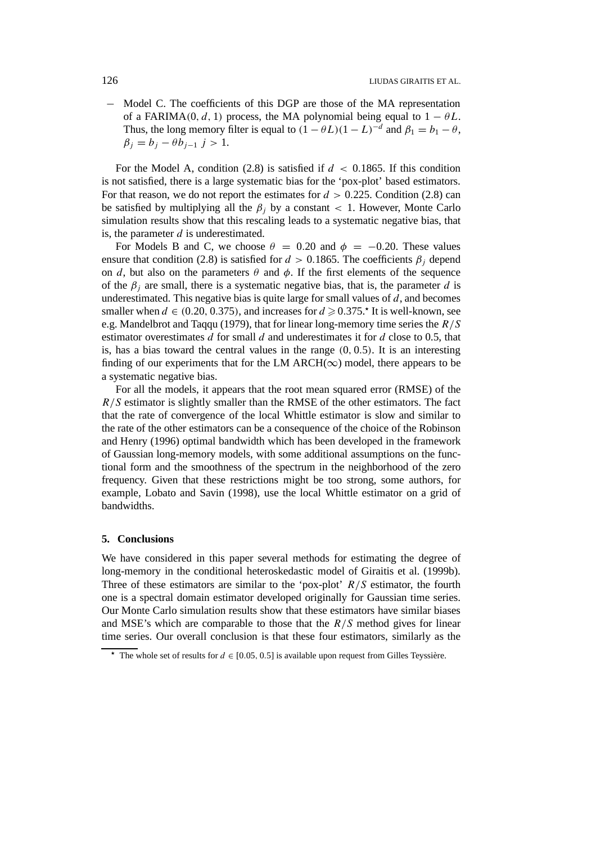− Model C. The coefficients of this DGP are those of the MA representation of a FARIMA $(0, d, 1)$  process, the MA polynomial being equal to  $1 - \theta L$ . Thus, the long memory filter is equal to  $(1 - \theta L)(1 - L)^{-d}$  and  $\beta_1 = b_1 - \theta$ ,  $\beta_j = b_j - \theta b_{j-1} j > 1.$ 

For the Model A, condition (2.8) is satisfied if  $d < 0.1865$ . If this condition is not satisfied, there is a large systematic bias for the 'pox-plot' based estimators. For that reason, we do not report the estimates for  $d > 0.225$ . Condition (2.8) can be satisfied by multiplying all the  $\beta_j$  by a constant  $\langle$  1. However, Monte Carlo simulation results show that this rescaling leads to a systematic negative bias, that is, the parameter *d* is underestimated.

For Models B and C, we choose  $\theta = 0.20$  and  $\phi = -0.20$ . These values ensure that condition (2.8) is satisfied for  $d > 0.1865$ . The coefficients  $\beta_i$  depend on *d*, but also on the parameters  $\theta$  and  $\phi$ . If the first elements of the sequence of the  $\beta_i$  are small, there is a systematic negative bias, that is, the parameter *d* is underestimated. This negative bias is quite large for small values of *d*, and becomes smaller when  $d \in (0.20, 0.375)$ , and increases for  $d \ge 0.375$ .<sup>\*</sup> It is well-known, see e.g. Mandelbrot and Taqqu (1979), that for linear long-memory time series the *R/S* estimator overestimates *d* for small *d* and underestimates it for *d* close to 0.5, that is, has a bias toward the central values in the range *(*0*,* 0*.*5*)*. It is an interesting finding of our experiments that for the LM ARCH( $\infty$ ) model, there appears to be a systematic negative bias.

For all the models, it appears that the root mean squared error (RMSE) of the *R/S* estimator is slightly smaller than the RMSE of the other estimators. The fact that the rate of convergence of the local Whittle estimator is slow and similar to the rate of the other estimators can be a consequence of the choice of the Robinson and Henry (1996) optimal bandwidth which has been developed in the framework of Gaussian long-memory models, with some additional assumptions on the functional form and the smoothness of the spectrum in the neighborhood of the zero frequency. Given that these restrictions might be too strong, some authors, for example, Lobato and Savin (1998), use the local Whittle estimator on a grid of bandwidths.

## **5. Conclusions**

We have considered in this paper several methods for estimating the degree of long-memory in the conditional heteroskedastic model of Giraitis et al. (1999b). Three of these estimators are similar to the 'pox-plot' *R/S* estimator, the fourth one is a spectral domain estimator developed originally for Gaussian time series. Our Monte Carlo simulation results show that these estimators have similar biases and MSE's which are comparable to those that the *R/S* method gives for linear time series. Our overall conclusion is that these four estimators, similarly as the

<sup>&</sup>lt;sup>\*</sup> The whole set of results for  $d \in [0.05, 0.5]$  is available upon request from Gilles Teyssière.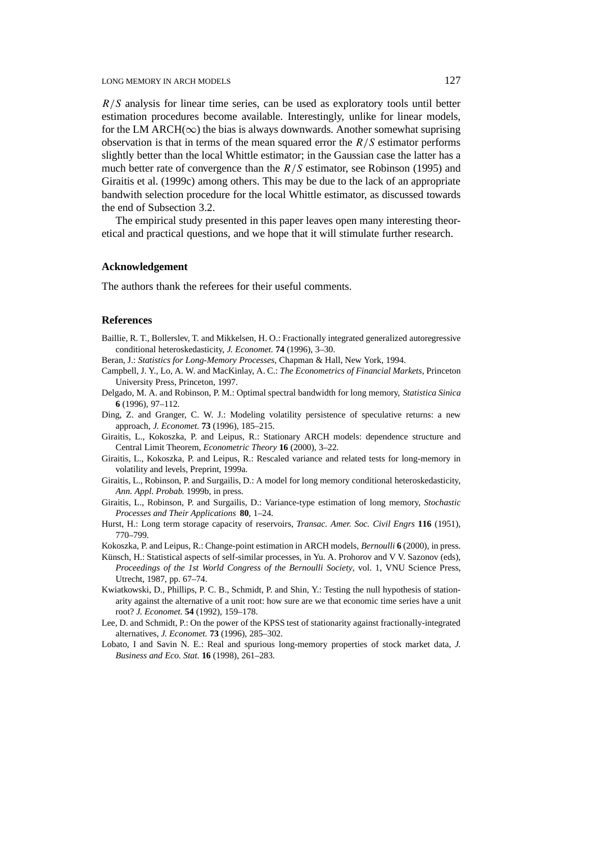LONG MEMORY IN ARCH MODELS 127

*R/S* analysis for linear time series, can be used as exploratory tools until better estimation procedures become available. Interestingly, unlike for linear models, for the LM ARCH( $\infty$ ) the bias is always downwards. Another somewhat suprising observation is that in terms of the mean squared error the *R/S* estimator performs slightly better than the local Whittle estimator; in the Gaussian case the latter has a much better rate of convergence than the *R/S* estimator, see Robinson (1995) and Giraitis et al. (1999c) among others. This may be due to the lack of an appropriate bandwith selection procedure for the local Whittle estimator, as discussed towards the end of Subsection 3.2.

The empirical study presented in this paper leaves open many interesting theoretical and practical questions, and we hope that it will stimulate further research.

#### **Acknowledgement**

The authors thank the referees for their useful comments.

## **References**

- Baillie, R. T., Bollerslev, T. and Mikkelsen, H. O.: Fractionally integrated generalized autoregressive conditional heteroskedasticity, *J. Economet.* **74** (1996), 3–30.
- Beran, J.: *Statistics for Long-Memory Processes*, Chapman & Hall, New York, 1994.
- Campbell, J. Y., Lo, A. W. and MacKinlay, A. C.: *The Econometrics of Financial Markets*, Princeton University Press, Princeton, 1997.
- Delgado, M. A. and Robinson, P. M.: Optimal spectral bandwidth for long memory, *Statistica Sinica* **6** (1996), 97–112.
- Ding, Z. and Granger, C. W. J.: Modeling volatility persistence of speculative returns: a new approach, *J. Economet.* **73** (1996), 185–215.
- Giraitis, L., Kokoszka, P. and Leipus, R.: Stationary ARCH models: dependence structure and Central Limit Theorem, *Econometric Theory* **16** (2000), 3–22.
- Giraitis, L., Kokoszka, P. and Leipus, R.: Rescaled variance and related tests for long-memory in volatility and levels, Preprint, 1999a.
- Giraitis, L., Robinson, P. and Surgailis, D.: A model for long memory conditional heteroskedasticity, *Ann. Appl. Probab.* 1999b, in press.
- Giraitis, L., Robinson, P. and Surgailis, D.: Variance-type estimation of long memory, *Stochastic Processes and Their Applications* **80**, 1–24.
- Hurst, H.: Long term storage capacity of reservoirs, *Transac. Amer. Soc. Civil Engrs* **116** (1951), 770–799.

Kokoszka, P. and Leipus, R.: Change-point estimation in ARCH models, *Bernoulli* **6** (2000), in press.

- Künsch, H.: Statistical aspects of self-similar processes, in Yu. A. Prohorov and V V. Sazonov (eds), *Proceedings of the 1st World Congress of the Bernoulli Society*, vol. 1, VNU Science Press, Utrecht, 1987, pp. 67–74.
- Kwiatkowski, D., Phillips, P. C. B., Schmidt, P. and Shin, Y.: Testing the null hypothesis of stationarity against the alternative of a unit root: how sure are we that economic time series have a unit root? *J. Economet.* **54** (1992), 159–178.
- Lee, D. and Schmidt, P.: On the power of the KPSS test of stationarity against fractionally-integrated alternatives, *J. Economet.* **73** (1996), 285–302.
- Lobato, I and Savin N. E.: Real and spurious long-memory properties of stock market data, *J. Business and Eco. Stat.* **16** (1998), 261–283.